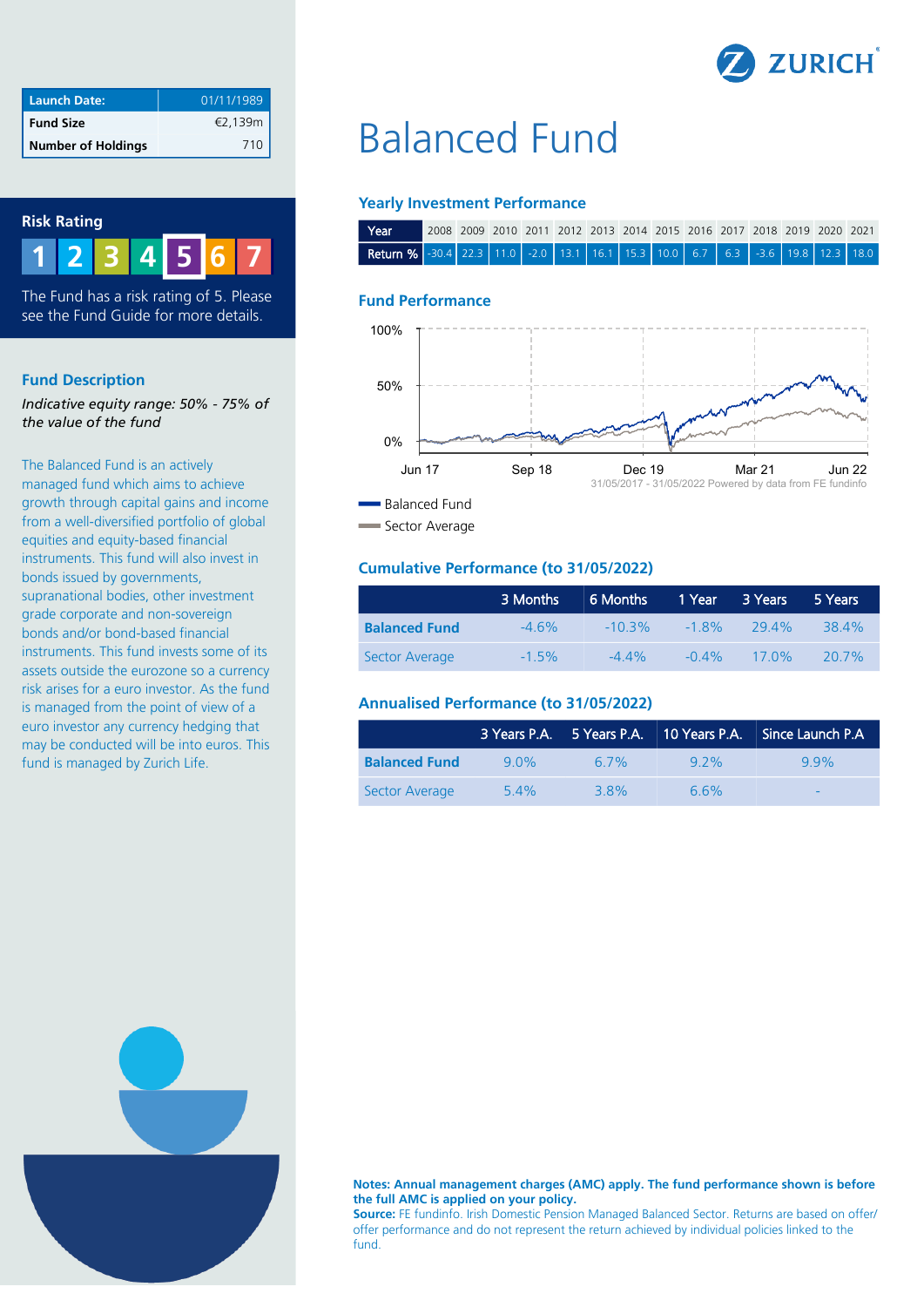

| <b>Launch Date:</b>       | 01/11/1989 |
|---------------------------|------------|
| <b>Fund Size</b>          | €2,139m    |
| <b>Number of Holdings</b> | 710        |



**1 2 3 4 6 7 5**

The Fund has a risk rating of 5. Please see the Fund Guide for more details.

## **Fund Description**

*Indicative equity range: 50% - 75% of the value of the fund*

The Balanced Fund is an actively managed fund which aims to achieve growth through capital gains and income from a well-diversified portfolio of global equities and equity-based financial instruments. This fund will also invest in bonds issued by governments, supranational bodies, other investment grade corporate and non-sovereign bonds and/or bond-based financial instruments. This fund invests some of its assets outside the eurozone so a currency risk arises for a euro investor. As the fund is managed from the point of view of a euro investor any currency hedging that may be conducted will be into euros. This fund is managed by Zurich Life.

# Balanced Fund

## **Yearly Investment Performance**

| <b>TYear</b>                                                                         |  |  |  |  |  | 2008 2009 2010 2011 2012 2013 2014 2015 2016 2017 2018 2019 2020 2021 |  |
|--------------------------------------------------------------------------------------|--|--|--|--|--|-----------------------------------------------------------------------|--|
| <b>Return %</b> -30.4 22.3 11.0 -2.0 13.1 16.1 15.3 10.0 6.7 6.3 -3.6 19.8 12.3 18.0 |  |  |  |  |  |                                                                       |  |

### **Fund Performance**



Sector Average

## **Cumulative Performance (to 31/05/2022)**

|                      | 3 Months | 6 Months  | 1 Year   | 3 Years       | 5 Years  |
|----------------------|----------|-----------|----------|---------------|----------|
| <b>Balanced Fund</b> | $-4.6\%$ | $-10.3\%$ |          | $-18\%$ 29.4% | 38.4%    |
| Sector Average       | $-1.5\%$ | $-44\%$   | $-0.4\%$ | $17.0\%$      | $20.7\%$ |

## **Annualised Performance (to 31/05/2022)**

|                      |                  |      |         | 3 Years P.A. 5 Years P.A. 10 Years P.A. Since Launch P.A |
|----------------------|------------------|------|---------|----------------------------------------------------------|
| <b>Balanced Fund</b> | 9 0 <sub>%</sub> | 6.7% | $9.2\%$ | 99%                                                      |
| Sector Average       | 54%              | 38%  | 66%     | $\overline{\phantom{a}}$                                 |



**Notes: Annual management charges (AMC) apply. The fund performance shown is before the full AMC is applied on your policy.**

**Source:** FE fundinfo. Irish Domestic Pension Managed Balanced Sector. Returns are based on offer/ offer performance and do not represent the return achieved by individual policies linked to the fund.